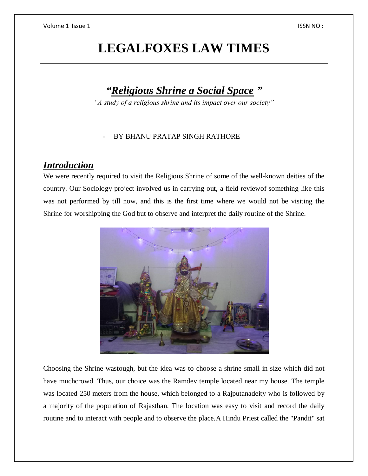# **LEGALFOXES LAW TIMES**

# *"Religious Shrine a Social Space "*

*"A study of a religious shrine and its impact over our society"*

#### BY BHANU PRATAP SINGH RATHORE

#### *Introduction*

We were recently required to visit the Religious Shrine of some of the well-known deities of the country. Our Sociology project involved us in carrying out, a field reviewof something like this was not performed by till now, and this is the first time where we would not be visiting the Shrine for worshipping the God but to observe and interpret the daily routine of the Shrine.



Choosing the Shrine wastough, but the idea was to choose a shrine small in size which did not have muchcrowd. Thus, our choice was the Ramdev temple located near my house. The temple was located 250 meters from the house, which belonged to a Rajputanadeity who is followed by a majority of the population of Rajasthan. The location was easy to visit and record the daily routine and to interact with people and to observe the place.A Hindu Priest called the "Pandit" sat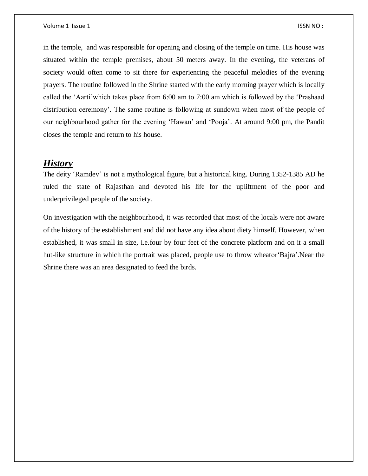in the temple, and was responsible for opening and closing of the temple on time. His house was situated within the temple premises, about 50 meters away. In the evening, the veterans of society would often come to sit there for experiencing the peaceful melodies of the evening prayers. The routine followed in the Shrine started with the early morning prayer which is locally called the 'Aarti'which takes place from 6:00 am to 7:00 am which is followed by the 'Prashaad distribution ceremony'. The same routine is following at sundown when most of the people of our neighbourhood gather for the evening 'Hawan' and 'Pooja'. At around 9:00 pm, the Pandit closes the temple and return to his house.

#### *History*

The deity 'Ramdev' is not a mythological figure, but a historical king. During 1352-1385 AD he ruled the state of Rajasthan and devoted his life for the upliftment of the poor and underprivileged people of the society.

On investigation with the neighbourhood, it was recorded that most of the locals were not aware of the history of the establishment and did not have any idea about diety himself. However, when established, it was small in size, i.e.four by four feet of the concrete platform and on it a small hut-like structure in which the portrait was placed, people use to throw wheator'Bajra'.Near the Shrine there was an area designated to feed the birds.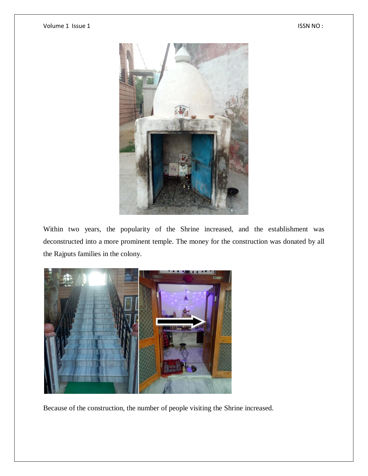

Within two years, the popularity of the Shrine increased, and the establishment was deconstructed into a more prominent temple. The money for the construction was donated by all the Rajputs families in the colony.



Because of the construction, the number of people visiting the Shrine increased.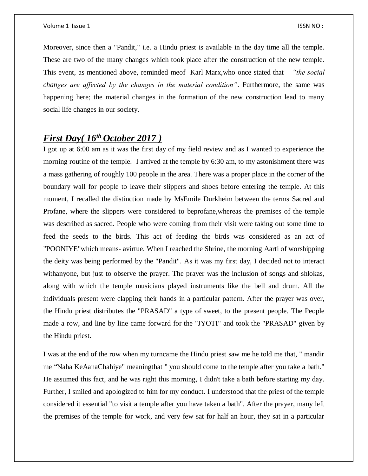Moreover, since then a "Pandit," i.e. a Hindu priest is available in the day time all the temple. These are two of the many changes which took place after the construction of the new temple. This event, as mentioned above, reminded meof Karl Marx,who once stated that – *"the social changes are affected by the changes in the material condition"*. Furthermore, the same was happening here; the material changes in the formation of the new construction lead to many social life changes in our society.

## *First Day( 16th October 2017 )*

I got up at 6:00 am as it was the first day of my field review and as I wanted to experience the morning routine of the temple. I arrived at the temple by 6:30 am, to my astonishment there was a mass gathering of roughly 100 people in the area. There was a proper place in the corner of the boundary wall for people to leave their slippers and shoes before entering the temple. At this moment, I recalled the distinction made by MsEmile Durkheim between the terms Sacred and Profane, where the slippers were considered to beprofane,whereas the premises of the temple was described as sacred. People who were coming from their visit were taking out some time to feed the seeds to the birds. This act of feeding the birds was considered as an act of "POONIYE"which means- avirtue. When I reached the Shrine, the morning Aarti of worshipping the deity was being performed by the "Pandit". As it was my first day, I decided not to interact withanyone, but just to observe the prayer. The prayer was the inclusion of songs and shlokas, along with which the temple musicians played instruments like the bell and drum. All the individuals present were clapping their hands in a particular pattern. After the prayer was over, the Hindu priest distributes the "PRASAD" a type of sweet, to the present people. The People made a row, and line by line came forward for the "JYOTI" and took the "PRASAD" given by the Hindu priest.

I was at the end of the row when my turncame the Hindu priest saw me he told me that, " mandir me "Naha KeAanaChahiye" meaningthat " you should come to the temple after you take a bath." He assumed this fact, and he was right this morning, I didn't take a bath before starting my day. Further, I smiled and apologized to him for my conduct. I understood that the priest of the temple considered it essential "to visit a temple after you have taken a bath". After the prayer, many left the premises of the temple for work, and very few sat for half an hour, they sat in a particular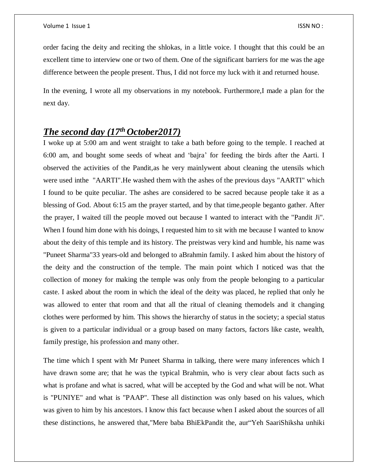order facing the deity and reciting the shlokas, in a little voice. I thought that this could be an excellent time to interview one or two of them. One of the significant barriers for me was the age difference between the people present. Thus, I did not force my luck with it and returned house.

In the evening, I wrote all my observations in my notebook. Furthermore,I made a plan for the next day.

## *The second day (17th October2017)*

I woke up at 5:00 am and went straight to take a bath before going to the temple. I reached at 6:00 am, and bought some seeds of wheat and 'bajra' for feeding the birds after the Aarti. I observed the activities of the Pandit,as he very mainlywent about cleaning the utensils which were used inthe "AARTI".He washed them with the ashes of the previous days "AARTI" which I found to be quite peculiar. The ashes are considered to be sacred because people take it as a blessing of God. About 6:15 am the prayer started, and by that time,people beganto gather. After the prayer, I waited till the people moved out because I wanted to interact with the "Pandit Ji". When I found him done with his doings, I requested him to sit with me because I wanted to know about the deity of this temple and its history. The preistwas very kind and humble, his name was "Puneet Sharma"33 years-old and belonged to aBrahmin family. I asked him about the history of the deity and the construction of the temple. The main point which I noticed was that the collection of money for making the temple was only from the people belonging to a particular caste. I asked about the room in which the ideal of the deity was placed, he replied that only he was allowed to enter that room and that all the ritual of cleaning themodels and it changing clothes were performed by him. This shows the hierarchy of status in the society; a special status is given to a particular individual or a group based on many factors, factors like caste, wealth, family prestige, his profession and many other.

The time which I spent with Mr Puneet Sharma in talking, there were many inferences which I have drawn some are; that he was the typical Brahmin, who is very clear about facts such as what is profane and what is sacred, what will be accepted by the God and what will be not. What is "PUNIYE" and what is "PAAP". These all distinction was only based on his values, which was given to him by his ancestors. I know this fact because when I asked about the sources of all these distinctions, he answered that,"Mere baba BhiEkPandit the, aur"Yeh SaariShiksha unhiki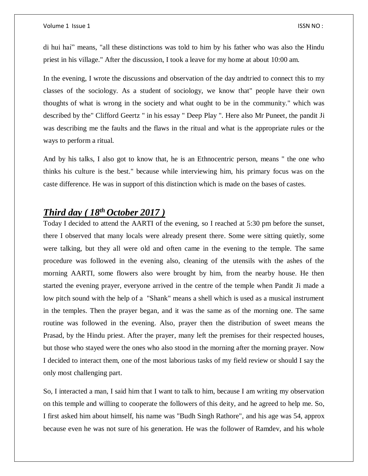#### Volume 1 Issue 1 ISSN NO : ISSN NO : ISSN NO : ISSN NO : ISSN NO :

di hui hai" means, "all these distinctions was told to him by his father who was also the Hindu priest in his village." After the discussion, I took a leave for my home at about 10:00 am.

In the evening, I wrote the discussions and observation of the day andtried to connect this to my classes of the sociology. As a student of sociology, we know that" people have their own thoughts of what is wrong in the society and what ought to be in the community." which was described by the" Clifford Geertz " in his essay " Deep Play ". Here also Mr Puneet, the pandit Ji was describing me the faults and the flaws in the ritual and what is the appropriate rules or the ways to perform a ritual.

And by his talks, I also got to know that, he is an Ethnocentric person, means " the one who thinks his culture is the best." because while interviewing him, his primary focus was on the caste difference. He was in support of this distinction which is made on the bases of castes.

### *Third day ( 18th October 2017 )*

Today I decided to attend the AARTI of the evening, so I reached at 5:30 pm before the sunset, there I observed that many locals were already present there. Some were sitting quietly, some were talking, but they all were old and often came in the evening to the temple. The same procedure was followed in the evening also, cleaning of the utensils with the ashes of the morning AARTI, some flowers also were brought by him, from the nearby house. He then started the evening prayer, everyone arrived in the centre of the temple when Pandit Ji made a low pitch sound with the help of a "Shank" means a shell which is used as a musical instrument in the temples. Then the prayer began, and it was the same as of the morning one. The same routine was followed in the evening. Also, prayer then the distribution of sweet means the Prasad, by the Hindu priest. After the prayer, many left the premises for their respected houses, but those who stayed were the ones who also stood in the morning after the morning prayer. Now I decided to interact them, one of the most laborious tasks of my field review or should I say the only most challenging part.

So, I interacted a man, I said him that I want to talk to him, because I am writing my observation on this temple and willing to cooperate the followers of this deity, and he agreed to help me. So, I first asked him about himself, his name was "Budh Singh Rathore", and his age was 54, approx because even he was not sure of his generation. He was the follower of Ramdev, and his whole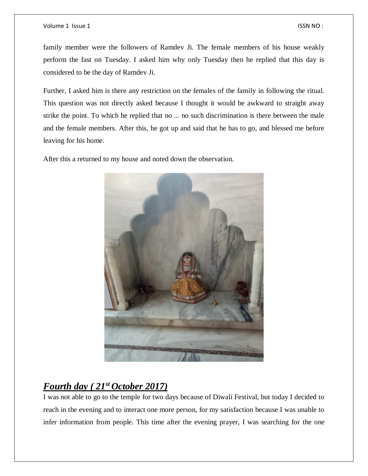#### Volume 1 Issue 1 **ISSN NO** :

family member were the followers of Ramdev Ji. The female members of his house weakly perform the fast on Tuesday. I asked him why only Tuesday then he replied that this day is considered to be the day of Ramdev Ji.

Further, I asked him is there any restriction on the females of the family in following the ritual. This question was not directly asked because I thought it would be awkward to straight away strike the point. To which he replied that no ... no such discrimination is there between the male and the female members. After this, he got up and said that he has to go, and blessed me before leaving for his home.

After this a returned to my house and noted down the observation.



## *Fourth day ( 21st October 2017)*

I was not able to go to the temple for two days because of Diwali Festival, but today I decided to reach in the evening and to interact one more person, for my satisfaction because I was unable to infer information from people. This time after the evening prayer, I was searching for the one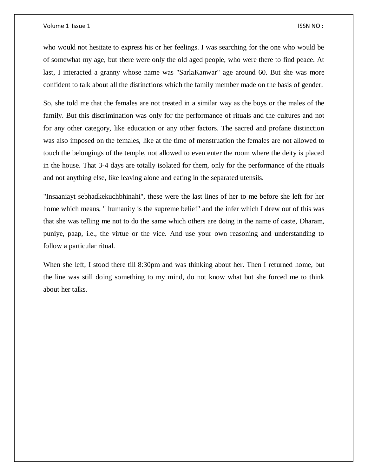who would not hesitate to express his or her feelings. I was searching for the one who would be of somewhat my age, but there were only the old aged people, who were there to find peace. At last, I interacted a granny whose name was "SarlaKanwar" age around 60. But she was more confident to talk about all the distinctions which the family member made on the basis of gender.

So, she told me that the females are not treated in a similar way as the boys or the males of the family. But this discrimination was only for the performance of rituals and the cultures and not for any other category, like education or any other factors. The sacred and profane distinction was also imposed on the females, like at the time of menstruation the females are not allowed to touch the belongings of the temple, not allowed to even enter the room where the deity is placed in the house. That 3-4 days are totally isolated for them, only for the performance of the rituals and not anything else, like leaving alone and eating in the separated utensils.

"Insaaniayt sebhadkekuchbhinahi", these were the last lines of her to me before she left for her home which means, " humanity is the supreme belief" and the infer which I drew out of this was that she was telling me not to do the same which others are doing in the name of caste, Dharam, puniye, paap, i.e., the virtue or the vice. And use your own reasoning and understanding to follow a particular ritual.

When she left, I stood there till 8:30pm and was thinking about her. Then I returned home, but the line was still doing something to my mind, do not know what but she forced me to think about her talks.